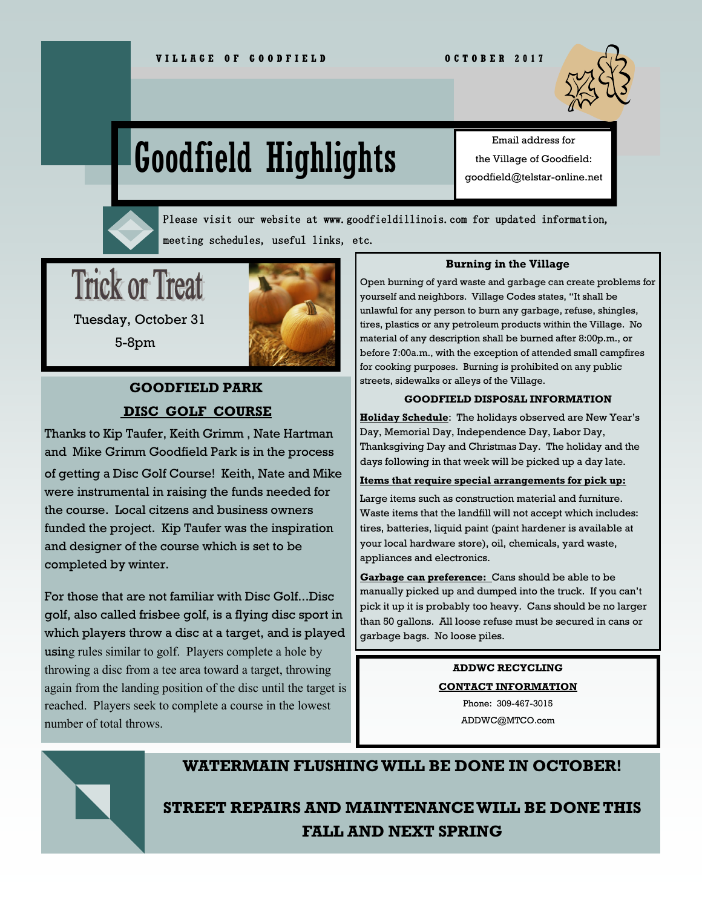

# Goodfield Highlights

Email address for the Village of Goodfield: goodfield@telstar-online.net

Please visit our website at www.goodfieldillinois.com for updated information, meeting schedules, useful links, etc.

**Trick or Treat** 



 Tuesday, October 31 5-8pm

# **GOODFIELD PARK DISC GOLF COURSE**

Thanks to Kip Taufer, Keith Grimm , Nate Hartman and Mike Grimm Goodfield Park is in the process

of getting a Disc Golf Course! Keith, Nate and Mike were instrumental in raising the funds needed for the course. Local citzens and business owners funded the project. Kip Taufer was the inspiration and designer of the course which is set to be completed by winter.

For those that are not familiar with Disc Golf...Disc golf, also called frisbee golf, is a flying disc sport in which players throw a disc at a target, and is played using rules similar to golf. Players complete a hole by throwing a disc from a tee area toward a target, throwing again from the landing position of the disc until the target is reached. Players seek to complete a course in the lowest number of total throws.

#### **Burning in the Village**

Open burning of yard waste and garbage can create problems for yourself and neighbors. Village Codes states, "It shall be unlawful for any person to burn any garbage, refuse, shingles, tires, plastics or any petroleum products within the Village. No material of any description shall be burned after 8:00p.m., or before 7:00a.m., with the exception of attended small campfires for cooking purposes. Burning is prohibited on any public streets, sidewalks or alleys of the Village.

#### **GOODFIELD DISPOSAL INFORMATION**

**Holiday Schedule**: The holidays observed are New Year's Day, Memorial Day, Independence Day, Labor Day, Thanksgiving Day and Christmas Day. The holiday and the days following in that week will be picked up a day late.

#### **Items that require special arrangements for pick up:**

Large items such as construction material and furniture. Waste items that the landfill will not accept which includes: tires, batteries, liquid paint (paint hardener is available at your local hardware store), oil, chemicals, yard waste, appliances and electronics.

**Garbage can preference:** Cans should be able to be manually picked up and dumped into the truck. If you can't pick it up it is probably too heavy. Cans should be no larger than 50 gallons. All loose refuse must be secured in cans or garbage bags. No loose piles.

# **ADDWC RECYCLING**

**CONTACT INFORMATION**

Phone: 309-467-3015 ADDWC@MTCO.com



# **WATERMAIN FLUSHING WILL BE DONE IN OCTOBER!**

# **STREET REPAIRS AND MAINTENANCE WILL BE DONE THIS FALL AND NEXT SPRING**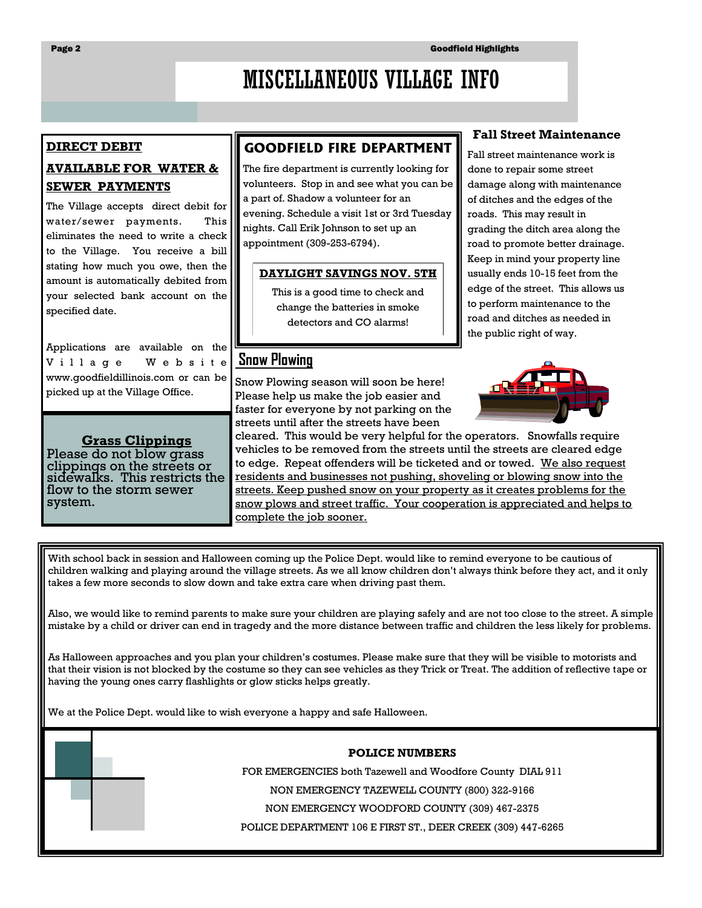# MISCELLANEOUS VILLAGE INFO

#### **DIRECT DEBIT**

## **AVAILABLE FOR WATER & SEWER PAYMENTS**

The Village accepts direct debit for water/sewer payments. This eliminates the need to write a check to the Village. You receive a bill stating how much you owe, then the amount is automatically debited from your selected bank account on the specified date.

Applications are available on the V i l l a g e W e b s i t e www.goodfieldillinois.com or can be picked up at the Village Office.

#### **Grass Clippings**

Please do not blow grass clippings on the streets or sidewalks. This restricts the flow to the storm sewer system.

## **GOODFIELD FIRE DEPARTMENT**

The fire department is currently looking for volunteers. Stop in and see what you can be a part of. Shadow a volunteer for an evening. Schedule a visit 1st or 3rd Tuesday nights. Call Erik Johnson to set up an appointment (309-253-6794).

#### **DAYLIGHT SAVINGS NOV. 5TH**

This is a good time to check and change the batteries in smoke detectors and CO alarms!

# **Snow Plowing**

Snow Plowing season will soon be here! Please help us make the job easier and faster for everyone by not parking on the streets until after the streets have been

#### **Fall Street Maintenance**

Fall street maintenance work is done to repair some street damage along with maintenance of ditches and the edges of the roads. This may result in grading the ditch area along the road to promote better drainage. Keep in mind your property line usually ends 10-15 feet from the edge of the street. This allows us to perform maintenance to the road and ditches as needed in the public right of way.



cleared. This would be very helpful for the operators. Snowfalls require vehicles to be removed from the streets until the streets are cleared edge to edge. Repeat offenders will be ticketed and or towed. We also request residents and businesses not pushing, shoveling or blowing snow into the streets. Keep pushed snow on your property as it creates problems for the snow plows and street traffic. Your cooperation is appreciated and helps to complete the job sooner.

With school back in session and Halloween coming up the Police Dept. would like to remind everyone to be cautious of children walking and playing around the village streets. As we all know children don't always think before they act, and it only takes a few more seconds to slow down and take extra care when driving past them.

Also, we would like to remind parents to make sure your children are playing safely and are not too close to the street. A simple mistake by a child or driver can end in tragedy and the more distance between traffic and children the less likely for problems.

As Halloween approaches and you plan your children's costumes. Please make sure that they will be visible to motorists and that their vision is not blocked by the costume so they can see vehicles as they Trick or Treat. The addition of reflective tape or having the young ones carry flashlights or glow sticks helps greatly.

We at the Police Dept. would like to wish everyone a happy and safe Halloween.

#### **POLICE NUMBERS**

FOR EMERGENCIES both Tazewell and Woodfore County DIAL 911

NON EMERGENCY TAZEWELL COUNTY (800) 322-9166

NON EMERGENCY WOODFORD COUNTY (309) 467-2375

POLICE DEPARTMENT 106 E FIRST ST., DEER CREEK (309) 447-6265